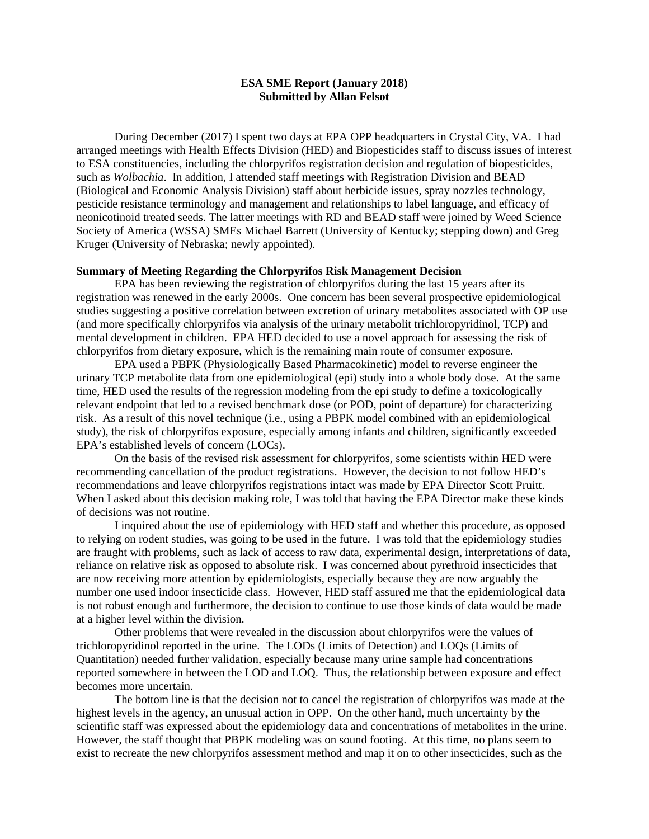## **ESA SME Report (January 2018) Submitted by Allan Felsot**

 During December (2017) I spent two days at EPA OPP headquarters in Crystal City, VA. I had arranged meetings with Health Effects Division (HED) and Biopesticides staff to discuss issues of interest to ESA constituencies, including the chlorpyrifos registration decision and regulation of biopesticides, such as *Wolbachia*. In addition, I attended staff meetings with Registration Division and BEAD (Biological and Economic Analysis Division) staff about herbicide issues, spray nozzles technology, pesticide resistance terminology and management and relationships to label language, and efficacy of neonicotinoid treated seeds. The latter meetings with RD and BEAD staff were joined by Weed Science Society of America (WSSA) SMEs Michael Barrett (University of Kentucky; stepping down) and Greg Kruger (University of Nebraska; newly appointed).

#### **Summary of Meeting Regarding the Chlorpyrifos Risk Management Decision**

 EPA has been reviewing the registration of chlorpyrifos during the last 15 years after its registration was renewed in the early 2000s. One concern has been several prospective epidemiological studies suggesting a positive correlation between excretion of urinary metabolites associated with OP use (and more specifically chlorpyrifos via analysis of the urinary metabolit trichloropyridinol, TCP) and mental development in children. EPA HED decided to use a novel approach for assessing the risk of chlorpyrifos from dietary exposure, which is the remaining main route of consumer exposure.

 EPA used a PBPK (Physiologically Based Pharmacokinetic) model to reverse engineer the urinary TCP metabolite data from one epidemiological (epi) study into a whole body dose. At the same time, HED used the results of the regression modeling from the epi study to define a toxicologically relevant endpoint that led to a revised benchmark dose (or POD, point of departure) for characterizing risk. As a result of this novel technique (i.e., using a PBPK model combined with an epidemiological study), the risk of chlorpyrifos exposure, especially among infants and children, significantly exceeded EPA's established levels of concern (LOCs).

 On the basis of the revised risk assessment for chlorpyrifos, some scientists within HED were recommending cancellation of the product registrations. However, the decision to not follow HED's recommendations and leave chlorpyrifos registrations intact was made by EPA Director Scott Pruitt. When I asked about this decision making role, I was told that having the EPA Director make these kinds of decisions was not routine.

 I inquired about the use of epidemiology with HED staff and whether this procedure, as opposed to relying on rodent studies, was going to be used in the future. I was told that the epidemiology studies are fraught with problems, such as lack of access to raw data, experimental design, interpretations of data, reliance on relative risk as opposed to absolute risk. I was concerned about pyrethroid insecticides that are now receiving more attention by epidemiologists, especially because they are now arguably the number one used indoor insecticide class. However, HED staff assured me that the epidemiological data is not robust enough and furthermore, the decision to continue to use those kinds of data would be made at a higher level within the division.

 Other problems that were revealed in the discussion about chlorpyrifos were the values of trichloropyridinol reported in the urine. The LODs (Limits of Detection) and LOQs (Limits of Quantitation) needed further validation, especially because many urine sample had concentrations reported somewhere in between the LOD and LOQ. Thus, the relationship between exposure and effect becomes more uncertain.

 The bottom line is that the decision not to cancel the registration of chlorpyrifos was made at the highest levels in the agency, an unusual action in OPP. On the other hand, much uncertainty by the scientific staff was expressed about the epidemiology data and concentrations of metabolites in the urine. However, the staff thought that PBPK modeling was on sound footing. At this time, no plans seem to exist to recreate the new chlorpyrifos assessment method and map it on to other insecticides, such as the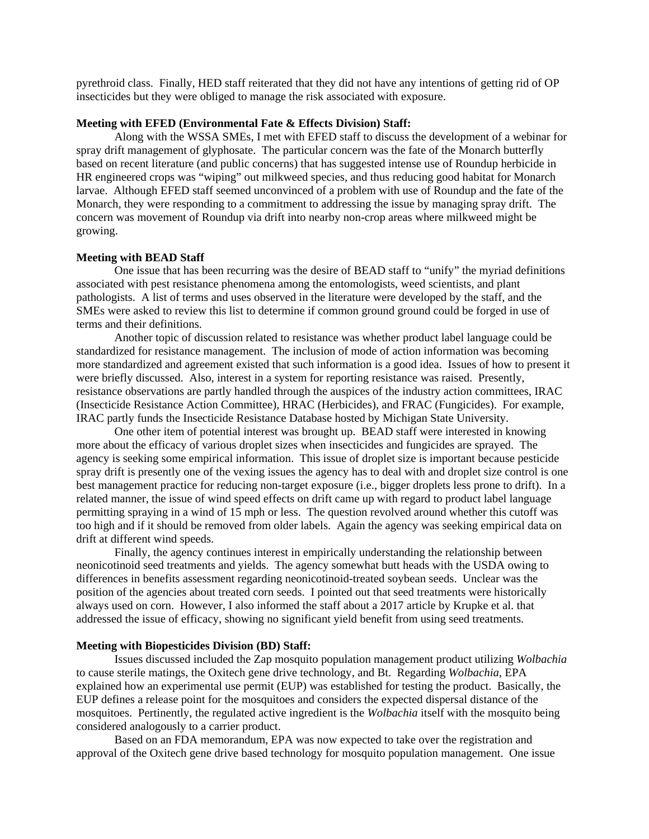pyrethroid class. Finally, HED staff reiterated that they did not have any intentions of getting rid of OP insecticides but they were obliged to manage the risk associated with exposure.

#### **Meeting with EFED (Environmental Fate & Effects Division) Staff:**

 Along with the WSSA SMEs, I met with EFED staff to discuss the development of a webinar for spray drift management of glyphosate. The particular concern was the fate of the Monarch butterfly based on recent literature (and public concerns) that has suggested intense use of Roundup herbicide in HR engineered crops was "wiping" out milkweed species, and thus reducing good habitat for Monarch larvae. Although EFED staff seemed unconvinced of a problem with use of Roundup and the fate of the Monarch, they were responding to a commitment to addressing the issue by managing spray drift. The concern was movement of Roundup via drift into nearby non-crop areas where milkweed might be growing.

# **Meeting with BEAD Staff**

 One issue that has been recurring was the desire of BEAD staff to "unify" the myriad definitions associated with pest resistance phenomena among the entomologists, weed scientists, and plant pathologists. A list of terms and uses observed in the literature were developed by the staff, and the SMEs were asked to review this list to determine if common ground ground could be forged in use of terms and their definitions.

 Another topic of discussion related to resistance was whether product label language could be standardized for resistance management. The inclusion of mode of action information was becoming more standardized and agreement existed that such information is a good idea. Issues of how to present it were briefly discussed. Also, interest in a system for reporting resistance was raised. Presently, resistance observations are partly handled through the auspices of the industry action committees, IRAC (Insecticide Resistance Action Committee), HRAC (Herbicides), and FRAC (Fungicides). For example, IRAC partly funds the Insecticide Resistance Database hosted by Michigan State University.

 One other item of potential interest was brought up. BEAD staff were interested in knowing more about the efficacy of various droplet sizes when insecticides and fungicides are sprayed. The agency is seeking some empirical information. This issue of droplet size is important because pesticide spray drift is presently one of the vexing issues the agency has to deal with and droplet size control is one best management practice for reducing non-target exposure (i.e., bigger droplets less prone to drift). In a related manner, the issue of wind speed effects on drift came up with regard to product label language permitting spraying in a wind of 15 mph or less. The question revolved around whether this cutoff was too high and if it should be removed from older labels. Again the agency was seeking empirical data on drift at different wind speeds.

 Finally, the agency continues interest in empirically understanding the relationship between neonicotinoid seed treatments and yields. The agency somewhat butt heads with the USDA owing to differences in benefits assessment regarding neonicotinoid-treated soybean seeds. Unclear was the position of the agencies about treated corn seeds. I pointed out that seed treatments were historically always used on corn. However, I also informed the staff about a 2017 article by Krupke et al. that addressed the issue of efficacy, showing no significant yield benefit from using seed treatments.

## **Meeting with Biopesticides Division (BD) Staff:**

 Issues discussed included the Zap mosquito population management product utilizing *Wolbachia* to cause sterile matings, the Oxitech gene drive technology, and Bt. Regarding *Wolbachia*, EPA explained how an experimental use permit (EUP) was established for testing the product. Basically, the EUP defines a release point for the mosquitoes and considers the expected dispersal distance of the mosquitoes. Pertinently, the regulated active ingredient is the *Wolbachia* itself with the mosquito being considered analogously to a carrier product.

 Based on an FDA memorandum, EPA was now expected to take over the registration and approval of the Oxitech gene drive based technology for mosquito population management. One issue